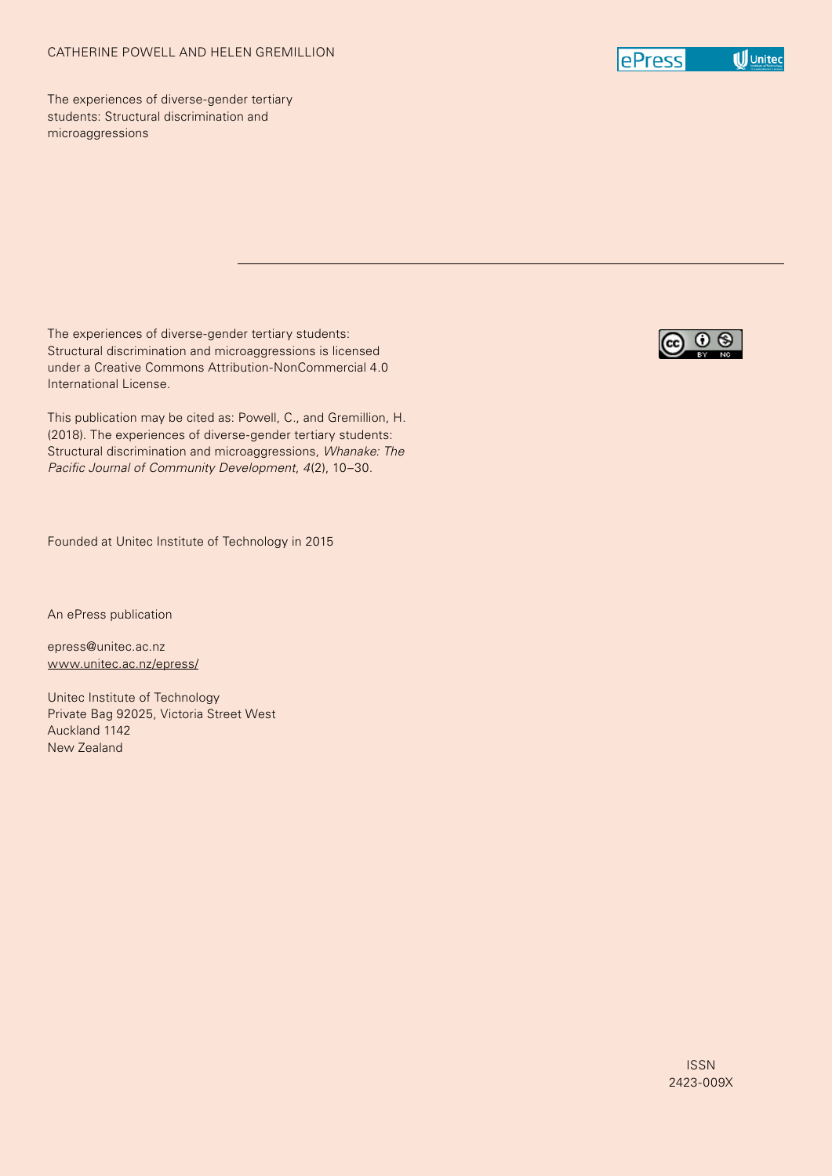

The experiences of diverse-gender tertiary students: Structural discrimination and microaggressions

The experiences of diverse-gender tertiary students: Structural discrimination and microaggressions is licensed under a Creative Commons Attribution-NonCommercial 4.0 International License.

This publication may be cited as: Powell, C., and Gremillion, H. (2018). The experiences of diverse-gender tertiary students: Structural discrimination and microaggressions, *Whanake: The Pacific Journal of Community Development*, *4*(2), 10–30.

Founded at Unitec Institute of Technology in 2015

An ePress publication

epress@unitec.ac.nz www.unitec.ac.nz/epress/

Unitec Institute of Technology Private Bag 92025, Victoria Street West Auckland 1142 New Zealand

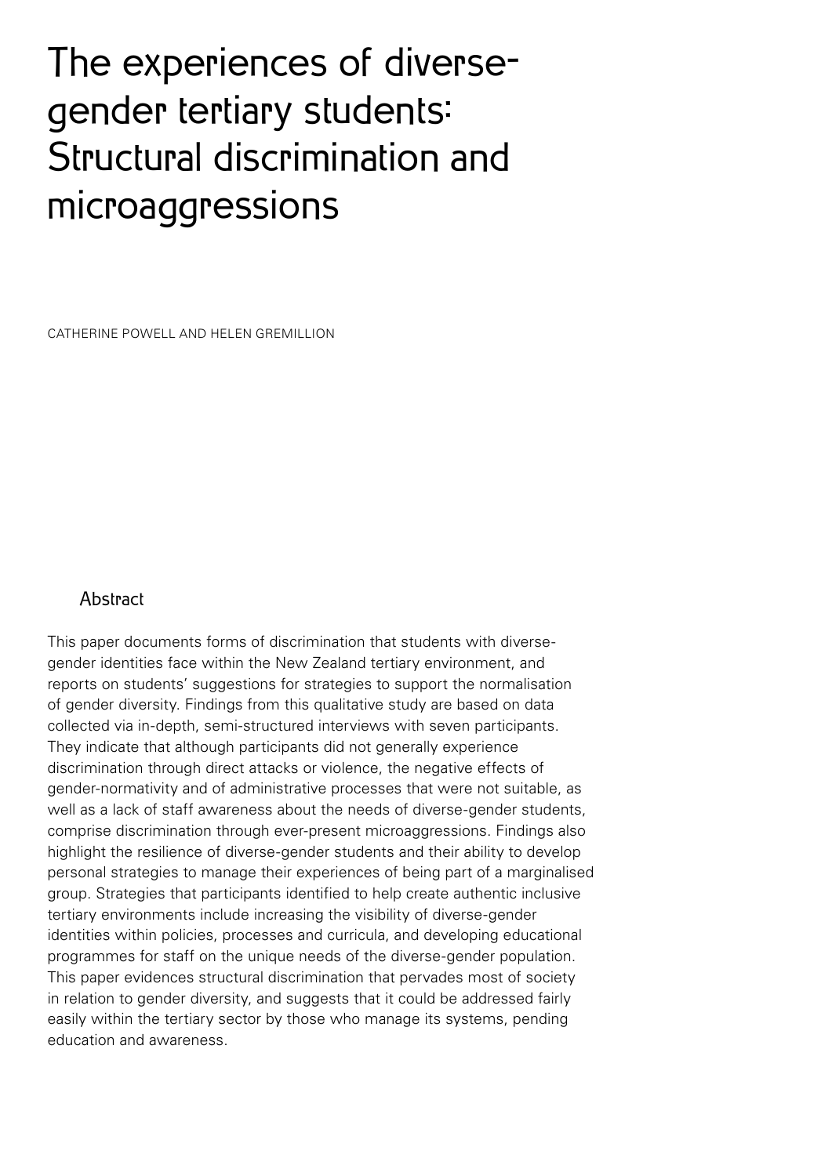# The experiences of diversegender tertiary students: Structural discrimination and microaggressions

CATHERINE POWELL AND HELEN GREMILLION

## Abstract

This paper documents forms of discrimination that students with diversegender identities face within the New Zealand tertiary environment, and reports on students' suggestions for strategies to support the normalisation of gender diversity. Findings from this qualitative study are based on data collected via in-depth, semi-structured interviews with seven participants. They indicate that although participants did not generally experience discrimination through direct attacks or violence, the negative effects of gender-normativity and of administrative processes that were not suitable, as well as a lack of staff awareness about the needs of diverse-gender students, comprise discrimination through ever-present microaggressions. Findings also highlight the resilience of diverse-gender students and their ability to develop personal strategies to manage their experiences of being part of a marginalised group. Strategies that participants identified to help create authentic inclusive tertiary environments include increasing the visibility of diverse-gender identities within policies, processes and curricula, and developing educational programmes for staff on the unique needs of the diverse-gender population. This paper evidences structural discrimination that pervades most of society in relation to gender diversity, and suggests that it could be addressed fairly easily within the tertiary sector by those who manage its systems, pending education and awareness.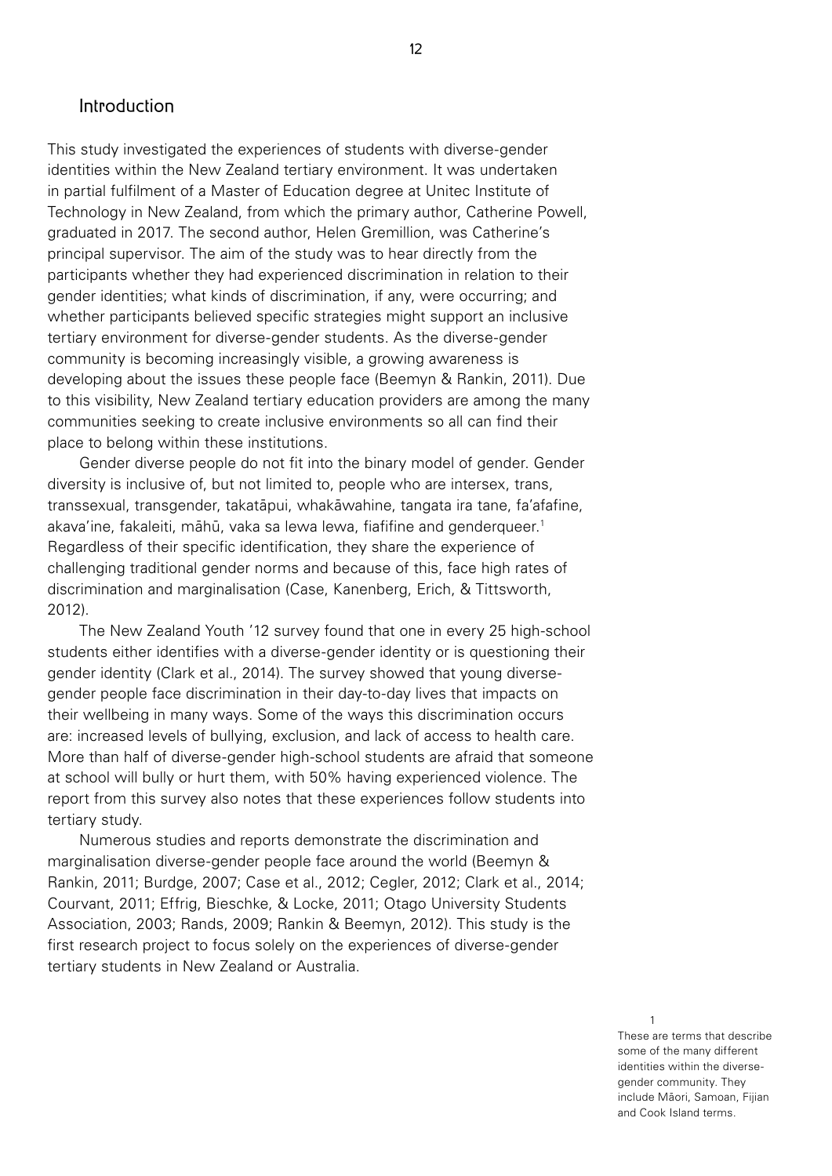## Introduction

This study investigated the experiences of students with diverse-gender identities within the New Zealand tertiary environment. It was undertaken in partial fulfilment of a Master of Education degree at Unitec Institute of Technology in New Zealand, from which the primary author, Catherine Powell, graduated in 2017. The second author, Helen Gremillion, was Catherine's principal supervisor. The aim of the study was to hear directly from the participants whether they had experienced discrimination in relation to their gender identities; what kinds of discrimination, if any, were occurring; and whether participants believed specific strategies might support an inclusive tertiary environment for diverse-gender students. As the diverse-gender community is becoming increasingly visible, a growing awareness is developing about the issues these people face (Beemyn & Rankin, 2011). Due to this visibility, New Zealand tertiary education providers are among the many communities seeking to create inclusive environments so all can find their place to belong within these institutions.

Gender diverse people do not fit into the binary model of gender. Gender diversity is inclusive of, but not limited to, people who are intersex, trans, transsexual, transgender, takatāpui, whakāwahine, tangata ira tane, fa'afafine, akava'ine, fakaleiti, māhū, vaka sa lewa lewa, fiafifine and genderqueer.<sup>1</sup> Regardless of their specific identification, they share the experience of challenging traditional gender norms and because of this, face high rates of discrimination and marginalisation (Case, Kanenberg, Erich, & Tittsworth, 2012).

The New Zealand Youth '12 survey found that one in every 25 high-school students either identifies with a diverse-gender identity or is questioning their gender identity (Clark et al., 2014). The survey showed that young diversegender people face discrimination in their day-to-day lives that impacts on their wellbeing in many ways. Some of the ways this discrimination occurs are: increased levels of bullying, exclusion, and lack of access to health care. More than half of diverse-gender high-school students are afraid that someone at school will bully or hurt them, with 50% having experienced violence. The report from this survey also notes that these experiences follow students into tertiary study.

Numerous studies and reports demonstrate the discrimination and marginalisation diverse-gender people face around the world (Beemyn & Rankin, 2011; Burdge, 2007; Case et al., 2012; Cegler, 2012; Clark et al., 2014; Courvant, 2011; Effrig, Bieschke, & Locke, 2011; Otago University Students Association, 2003; Rands, 2009; Rankin & Beemyn, 2012). This study is the first research project to focus solely on the experiences of diverse-gender tertiary students in New Zealand or Australia.

#### 1

These are terms that describe some of the many different identities within the diversegender community. They include Māori, Samoan, Fijian and Cook Island terms.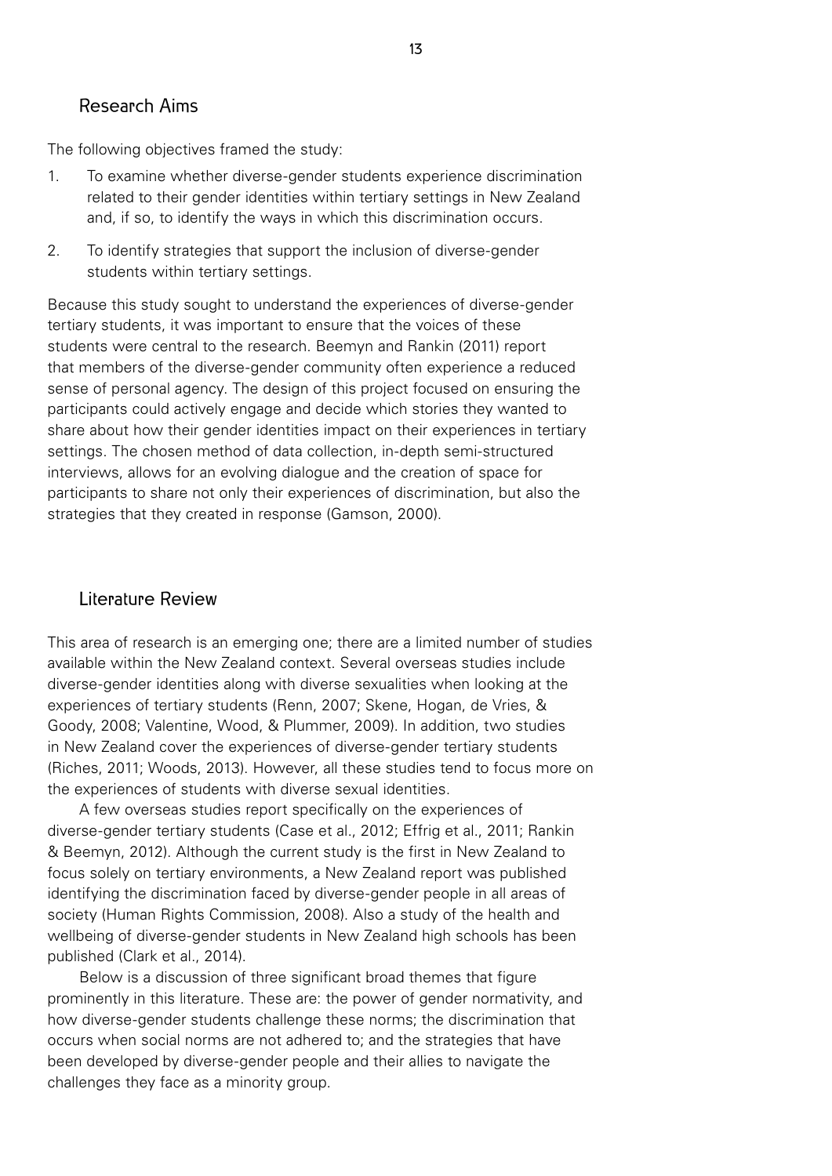## Research Aims

The following objectives framed the study:

- 1. To examine whether diverse-gender students experience discrimination related to their gender identities within tertiary settings in New Zealand and, if so, to identify the ways in which this discrimination occurs.
- 2. To identify strategies that support the inclusion of diverse-gender students within tertiary settings.

Because this study sought to understand the experiences of diverse-gender tertiary students, it was important to ensure that the voices of these students were central to the research. Beemyn and Rankin (2011) report that members of the diverse-gender community often experience a reduced sense of personal agency. The design of this project focused on ensuring the participants could actively engage and decide which stories they wanted to share about how their gender identities impact on their experiences in tertiary settings. The chosen method of data collection, in-depth semi-structured interviews, allows for an evolving dialogue and the creation of space for participants to share not only their experiences of discrimination, but also the strategies that they created in response (Gamson, 2000).

## Literature Review

This area of research is an emerging one; there are a limited number of studies available within the New Zealand context. Several overseas studies include diverse-gender identities along with diverse sexualities when looking at the experiences of tertiary students (Renn, 2007; Skene, Hogan, de Vries, & Goody, 2008; Valentine, Wood, & Plummer, 2009). In addition, two studies in New Zealand cover the experiences of diverse-gender tertiary students (Riches, 2011; Woods, 2013). However, all these studies tend to focus more on the experiences of students with diverse sexual identities.

A few overseas studies report specifically on the experiences of diverse-gender tertiary students (Case et al., 2012; Effrig et al., 2011; Rankin & Beemyn, 2012). Although the current study is the first in New Zealand to focus solely on tertiary environments, a New Zealand report was published identifying the discrimination faced by diverse-gender people in all areas of society (Human Rights Commission, 2008). Also a study of the health and wellbeing of diverse-gender students in New Zealand high schools has been published (Clark et al., 2014).

Below is a discussion of three significant broad themes that figure prominently in this literature. These are: the power of gender normativity, and how diverse-gender students challenge these norms; the discrimination that occurs when social norms are not adhered to; and the strategies that have been developed by diverse-gender people and their allies to navigate the challenges they face as a minority group.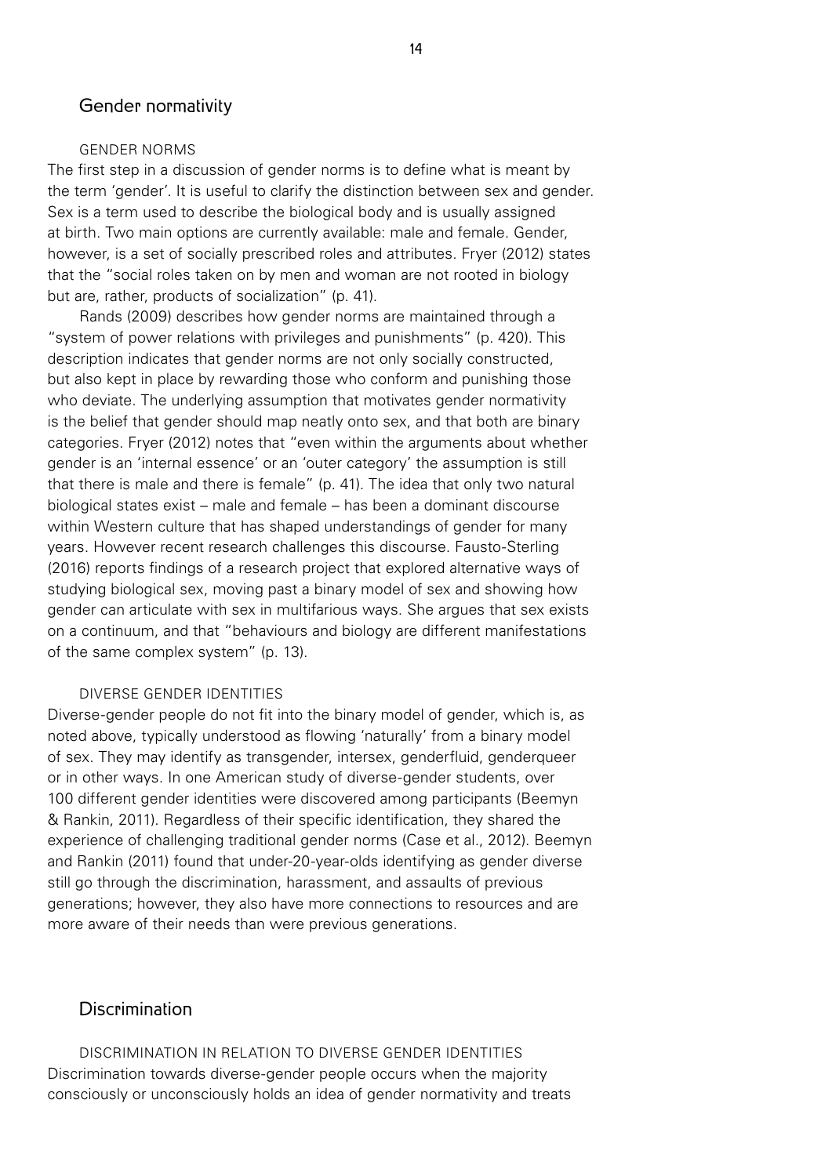## Gender normativity

#### GENDER NORMS

The first step in a discussion of gender norms is to define what is meant by the term 'gender'. It is useful to clarify the distinction between sex and gender. Sex is a term used to describe the biological body and is usually assigned at birth. Two main options are currently available: male and female. Gender, however, is a set of socially prescribed roles and attributes. Fryer (2012) states that the "social roles taken on by men and woman are not rooted in biology but are, rather, products of socialization" (p. 41).

Rands (2009) describes how gender norms are maintained through a "system of power relations with privileges and punishments" (p. 420). This description indicates that gender norms are not only socially constructed, but also kept in place by rewarding those who conform and punishing those who deviate. The underlying assumption that motivates gender normativity is the belief that gender should map neatly onto sex, and that both are binary categories. Fryer (2012) notes that "even within the arguments about whether gender is an 'internal essence' or an 'outer category' the assumption is still that there is male and there is female" (p. 41). The idea that only two natural biological states exist – male and female – has been a dominant discourse within Western culture that has shaped understandings of gender for many years. However recent research challenges this discourse. Fausto-Sterling (2016) reports findings of a research project that explored alternative ways of studying biological sex, moving past a binary model of sex and showing how gender can articulate with sex in multifarious ways. She argues that sex exists on a continuum, and that "behaviours and biology are different manifestations of the same complex system" (p. 13).

#### DIVERSE GENDER IDENTITIES

Diverse-gender people do not fit into the binary model of gender, which is, as noted above, typically understood as flowing 'naturally' from a binary model of sex. They may identify as transgender, intersex, genderfluid, genderqueer or in other ways. In one American study of diverse-gender students, over 100 different gender identities were discovered among participants (Beemyn & Rankin, 2011). Regardless of their specific identification, they shared the experience of challenging traditional gender norms (Case et al., 2012). Beemyn and Rankin (2011) found that under-20-year-olds identifying as gender diverse still go through the discrimination, harassment, and assaults of previous generations; however, they also have more connections to resources and are more aware of their needs than were previous generations.

## Discrimination

DISCRIMINATION IN RELATION TO DIVERSE GENDER IDENTITIES Discrimination towards diverse-gender people occurs when the majority consciously or unconsciously holds an idea of gender normativity and treats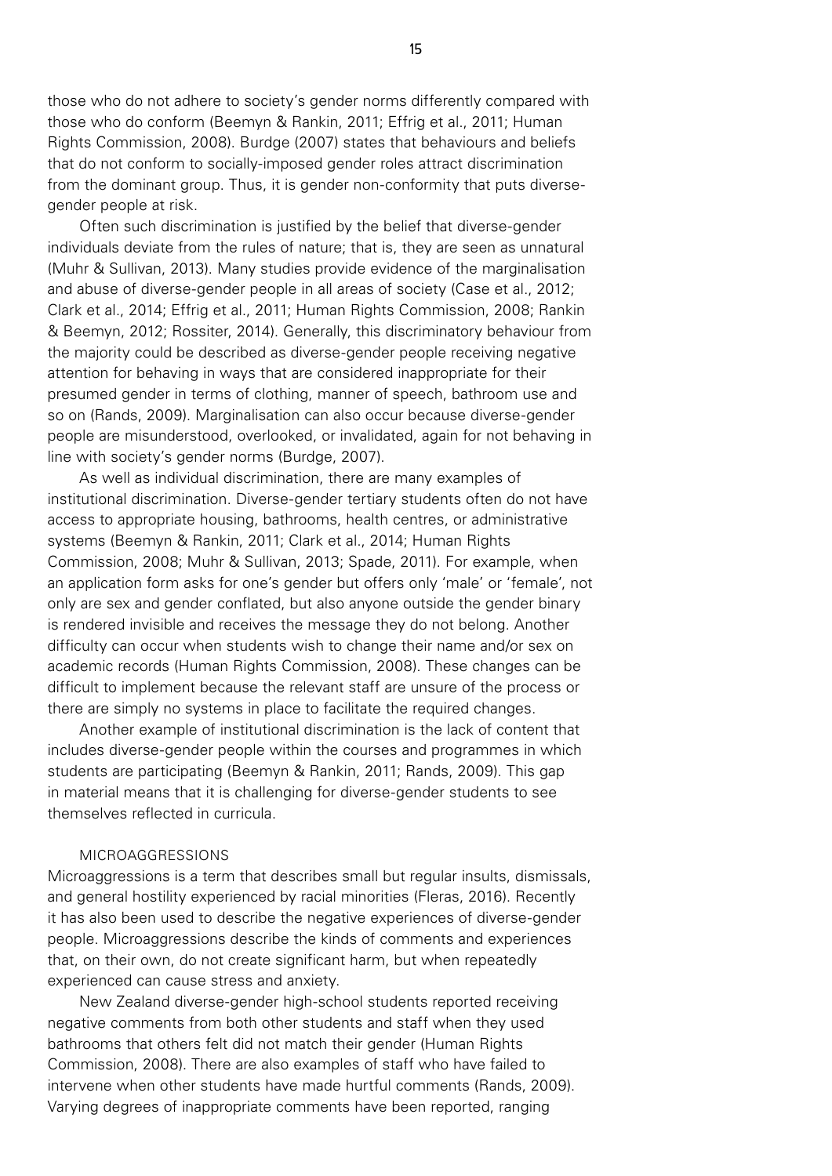those who do not adhere to society's gender norms differently compared with those who do conform (Beemyn & Rankin, 2011; Effrig et al., 2011; Human Rights Commission, 2008). Burdge (2007) states that behaviours and beliefs that do not conform to socially-imposed gender roles attract discrimination from the dominant group. Thus, it is gender non-conformity that puts diversegender people at risk.

Often such discrimination is justified by the belief that diverse-gender individuals deviate from the rules of nature; that is, they are seen as unnatural (Muhr & Sullivan, 2013). Many studies provide evidence of the marginalisation and abuse of diverse-gender people in all areas of society (Case et al., 2012; Clark et al., 2014; Effrig et al., 2011; Human Rights Commission, 2008; Rankin & Beemyn, 2012; Rossiter, 2014). Generally, this discriminatory behaviour from the majority could be described as diverse-gender people receiving negative attention for behaving in ways that are considered inappropriate for their presumed gender in terms of clothing, manner of speech, bathroom use and so on (Rands, 2009). Marginalisation can also occur because diverse-gender people are misunderstood, overlooked, or invalidated, again for not behaving in line with society's gender norms (Burdge, 2007).

As well as individual discrimination, there are many examples of institutional discrimination. Diverse-gender tertiary students often do not have access to appropriate housing, bathrooms, health centres, or administrative systems (Beemyn & Rankin, 2011; Clark et al., 2014; Human Rights Commission, 2008; Muhr & Sullivan, 2013; Spade, 2011). For example, when an application form asks for one's gender but offers only 'male' or 'female', not only are sex and gender conflated, but also anyone outside the gender binary is rendered invisible and receives the message they do not belong. Another difficulty can occur when students wish to change their name and/or sex on academic records (Human Rights Commission, 2008). These changes can be difficult to implement because the relevant staff are unsure of the process or there are simply no systems in place to facilitate the required changes.

Another example of institutional discrimination is the lack of content that includes diverse-gender people within the courses and programmes in which students are participating (Beemyn & Rankin, 2011; Rands, 2009). This gap in material means that it is challenging for diverse-gender students to see themselves reflected in curricula.

#### MICROAGGRESSIONS

Microaggressions is a term that describes small but regular insults, dismissals, and general hostility experienced by racial minorities (Fleras, 2016). Recently it has also been used to describe the negative experiences of diverse-gender people. Microaggressions describe the kinds of comments and experiences that, on their own, do not create significant harm, but when repeatedly experienced can cause stress and anxiety.

New Zealand diverse-gender high-school students reported receiving negative comments from both other students and staff when they used bathrooms that others felt did not match their gender (Human Rights Commission, 2008). There are also examples of staff who have failed to intervene when other students have made hurtful comments (Rands, 2009). Varying degrees of inappropriate comments have been reported, ranging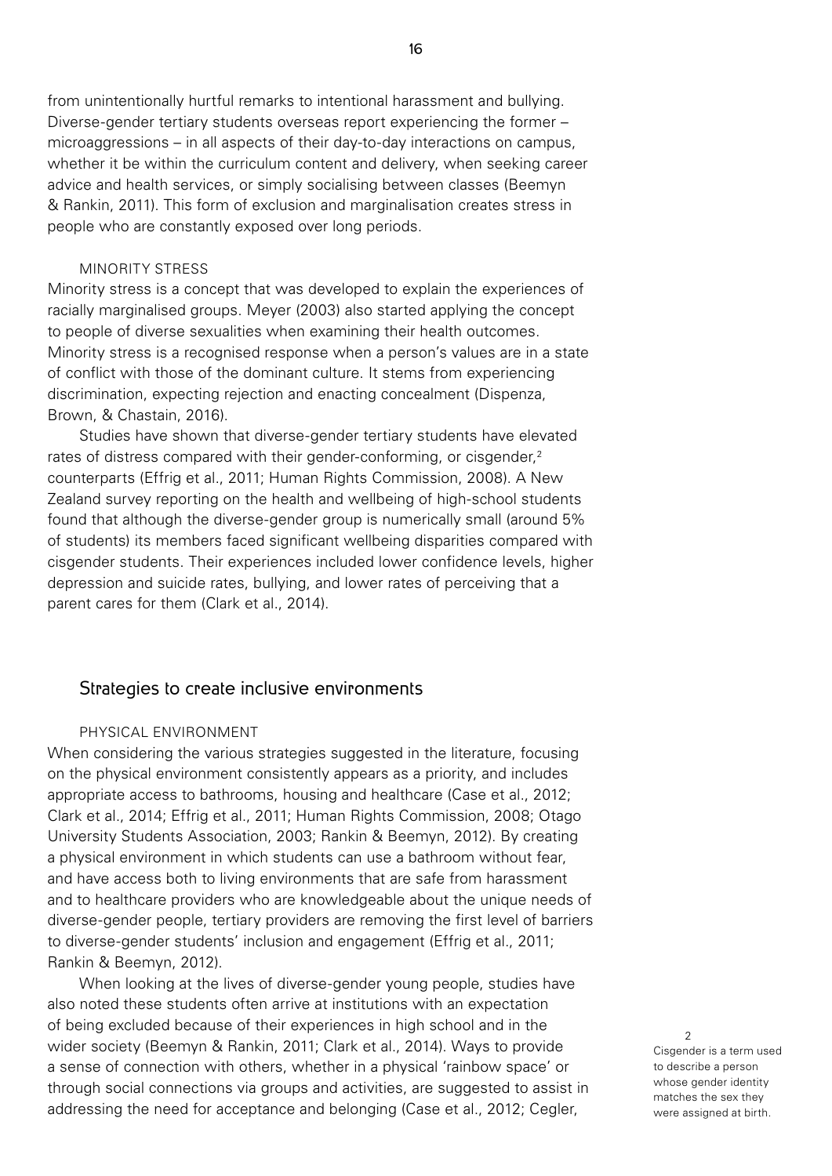from unintentionally hurtful remarks to intentional harassment and bullying. Diverse-gender tertiary students overseas report experiencing the former – microaggressions – in all aspects of their day-to-day interactions on campus, whether it be within the curriculum content and delivery, when seeking career advice and health services, or simply socialising between classes (Beemyn & Rankin, 2011). This form of exclusion and marginalisation creates stress in people who are constantly exposed over long periods.

## MINORITY STRESS

Minority stress is a concept that was developed to explain the experiences of racially marginalised groups. Meyer (2003) also started applying the concept to people of diverse sexualities when examining their health outcomes. Minority stress is a recognised response when a person's values are in a state of conflict with those of the dominant culture. It stems from experiencing discrimination, expecting rejection and enacting concealment (Dispenza, Brown, & Chastain, 2016).

Studies have shown that diverse-gender tertiary students have elevated rates of distress compared with their gender-conforming, or cisgender,<sup>2</sup> counterparts (Effrig et al., 2011; Human Rights Commission, 2008). A New Zealand survey reporting on the health and wellbeing of high-school students found that although the diverse-gender group is numerically small (around 5% of students) its members faced significant wellbeing disparities compared with cisgender students. Their experiences included lower confidence levels, higher depression and suicide rates, bullying, and lower rates of perceiving that a parent cares for them (Clark et al., 2014).

#### Strategies to create inclusive environments

#### PHYSICAL ENVIRONMENT

When considering the various strategies suggested in the literature, focusing on the physical environment consistently appears as a priority, and includes appropriate access to bathrooms, housing and healthcare (Case et al., 2012; Clark et al., 2014; Effrig et al., 2011; Human Rights Commission, 2008; Otago University Students Association, 2003; Rankin & Beemyn, 2012). By creating a physical environment in which students can use a bathroom without fear, and have access both to living environments that are safe from harassment and to healthcare providers who are knowledgeable about the unique needs of diverse-gender people, tertiary providers are removing the first level of barriers to diverse-gender students' inclusion and engagement (Effrig et al., 2011; Rankin & Beemyn, 2012).

When looking at the lives of diverse-gender young people, studies have also noted these students often arrive at institutions with an expectation of being excluded because of their experiences in high school and in the wider society (Beemyn & Rankin, 2011; Clark et al., 2014). Ways to provide a sense of connection with others, whether in a physical 'rainbow space' or through social connections via groups and activities, are suggested to assist in addressing the need for acceptance and belonging (Case et al., 2012; Cegler,

2 Cisgender is a term used to describe a person whose gender identity matches the sex they were assigned at birth.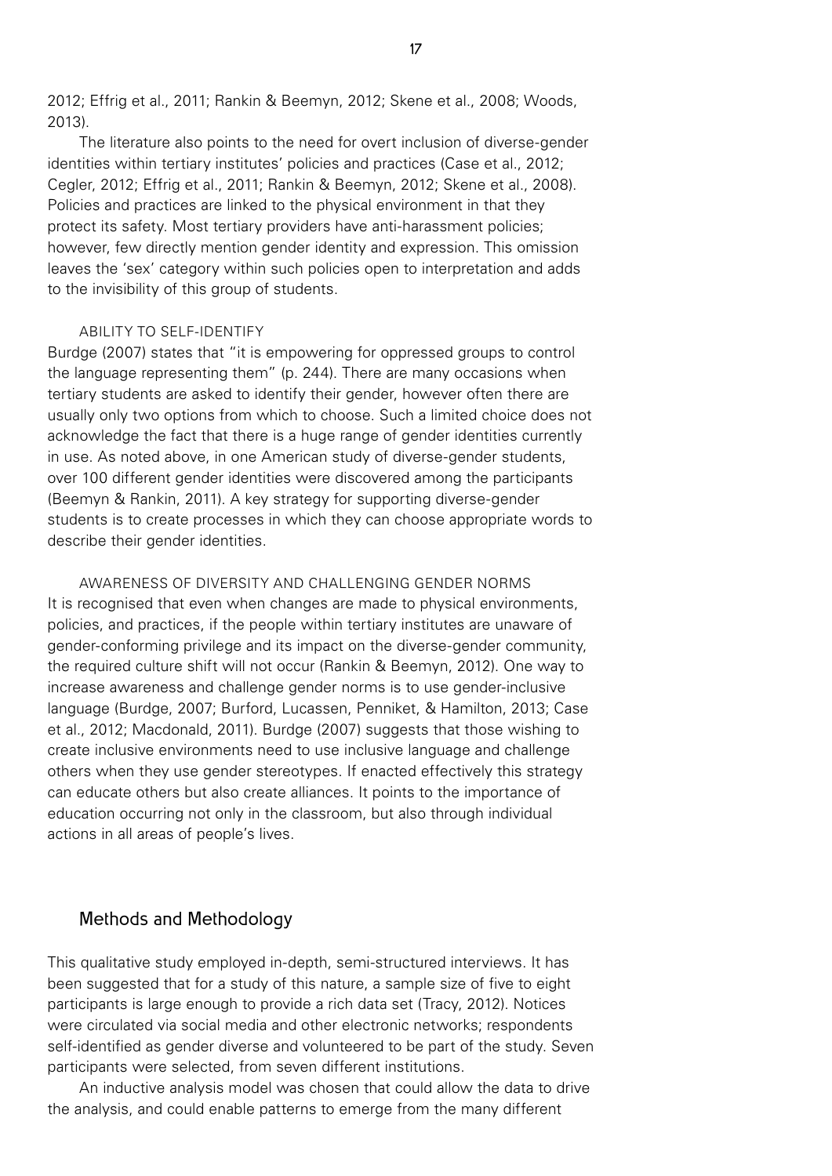2012; Effrig et al., 2011; Rankin & Beemyn, 2012; Skene et al., 2008; Woods, 2013).

The literature also points to the need for overt inclusion of diverse-gender identities within tertiary institutes' policies and practices (Case et al., 2012; Cegler, 2012; Effrig et al., 2011; Rankin & Beemyn, 2012; Skene et al., 2008). Policies and practices are linked to the physical environment in that they protect its safety. Most tertiary providers have anti-harassment policies; however, few directly mention gender identity and expression. This omission leaves the 'sex' category within such policies open to interpretation and adds to the invisibility of this group of students.

#### ABILITY TO SELF-IDENTIFY

Burdge (2007) states that "it is empowering for oppressed groups to control the language representing them" (p. 244). There are many occasions when tertiary students are asked to identify their gender, however often there are usually only two options from which to choose. Such a limited choice does not acknowledge the fact that there is a huge range of gender identities currently in use. As noted above, in one American study of diverse-gender students, over 100 different gender identities were discovered among the participants (Beemyn & Rankin, 2011). A key strategy for supporting diverse-gender students is to create processes in which they can choose appropriate words to describe their gender identities.

AWARENESS OF DIVERSITY AND CHALLENGING GENDER NORMS It is recognised that even when changes are made to physical environments, policies, and practices, if the people within tertiary institutes are unaware of gender-conforming privilege and its impact on the diverse-gender community, the required culture shift will not occur (Rankin & Beemyn, 2012). One way to increase awareness and challenge gender norms is to use gender-inclusive language (Burdge, 2007; Burford, Lucassen, Penniket, & Hamilton, 2013; Case et al., 2012; Macdonald, 2011). Burdge (2007) suggests that those wishing to create inclusive environments need to use inclusive language and challenge others when they use gender stereotypes. If enacted effectively this strategy can educate others but also create alliances. It points to the importance of education occurring not only in the classroom, but also through individual actions in all areas of people's lives.

## Methods and Methodology

This qualitative study employed in-depth, semi-structured interviews. It has been suggested that for a study of this nature, a sample size of five to eight participants is large enough to provide a rich data set (Tracy, 2012). Notices were circulated via social media and other electronic networks; respondents self-identified as gender diverse and volunteered to be part of the study. Seven participants were selected, from seven different institutions.

An inductive analysis model was chosen that could allow the data to drive the analysis, and could enable patterns to emerge from the many different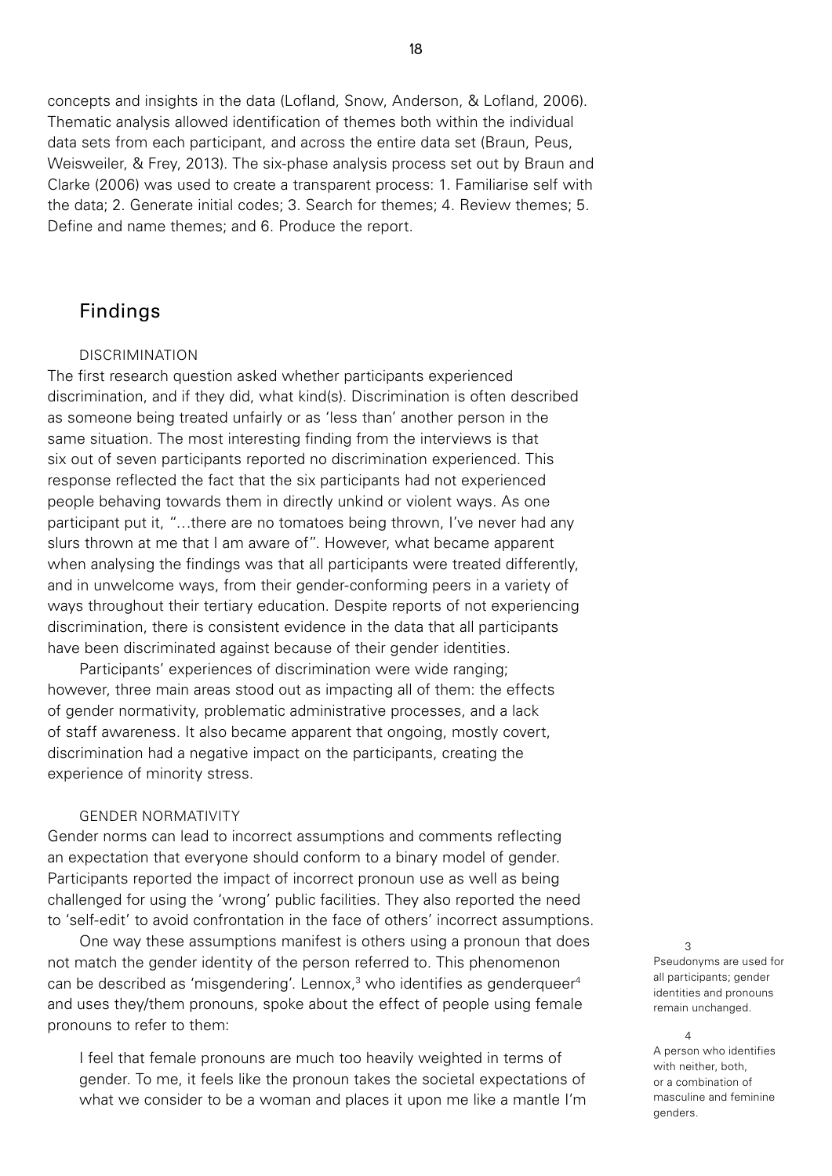concepts and insights in the data (Lofland, Snow, Anderson, & Lofland, 2006). Thematic analysis allowed identification of themes both within the individual data sets from each participant, and across the entire data set (Braun, Peus, Weisweiler, & Frey, 2013). The six-phase analysis process set out by Braun and Clarke (2006) was used to create a transparent process: 1. Familiarise self with the data; 2. Generate initial codes; 3. Search for themes; 4. Review themes; 5. Define and name themes; and 6. Produce the report.

## Findings

#### DISCRIMINATION

The first research question asked whether participants experienced discrimination, and if they did, what kind(s). Discrimination is often described as someone being treated unfairly or as 'less than' another person in the same situation. The most interesting finding from the interviews is that six out of seven participants reported no discrimination experienced. This response reflected the fact that the six participants had not experienced people behaving towards them in directly unkind or violent ways. As one participant put it, "…there are no tomatoes being thrown, I've never had any slurs thrown at me that I am aware of". However, what became apparent when analysing the findings was that all participants were treated differently, and in unwelcome ways, from their gender-conforming peers in a variety of ways throughout their tertiary education. Despite reports of not experiencing discrimination, there is consistent evidence in the data that all participants have been discriminated against because of their gender identities.

Participants' experiences of discrimination were wide ranging; however, three main areas stood out as impacting all of them: the effects of gender normativity, problematic administrative processes, and a lack of staff awareness. It also became apparent that ongoing, mostly covert, discrimination had a negative impact on the participants, creating the experience of minority stress.

#### GENDER NORMATIVITY

Gender norms can lead to incorrect assumptions and comments reflecting an expectation that everyone should conform to a binary model of gender. Participants reported the impact of incorrect pronoun use as well as being challenged for using the 'wrong' public facilities. They also reported the need to 'self-edit' to avoid confrontation in the face of others' incorrect assumptions.

One way these assumptions manifest is others using a pronoun that does not match the gender identity of the person referred to. This phenomenon can be described as 'misgendering'. Lennox,<sup>3</sup> who identifies as genderqueer<sup>4</sup> and uses they/them pronouns, spoke about the effect of people using female pronouns to refer to them:

I feel that female pronouns are much too heavily weighted in terms of gender. To me, it feels like the pronoun takes the societal expectations of what we consider to be a woman and places it upon me like a mantle I'm

Pseudonyms are used for all participants; gender identities and pronouns remain unchanged.

3

A person who identifies with neither, both, or a combination of masculine and feminine genders.

<sup>4</sup>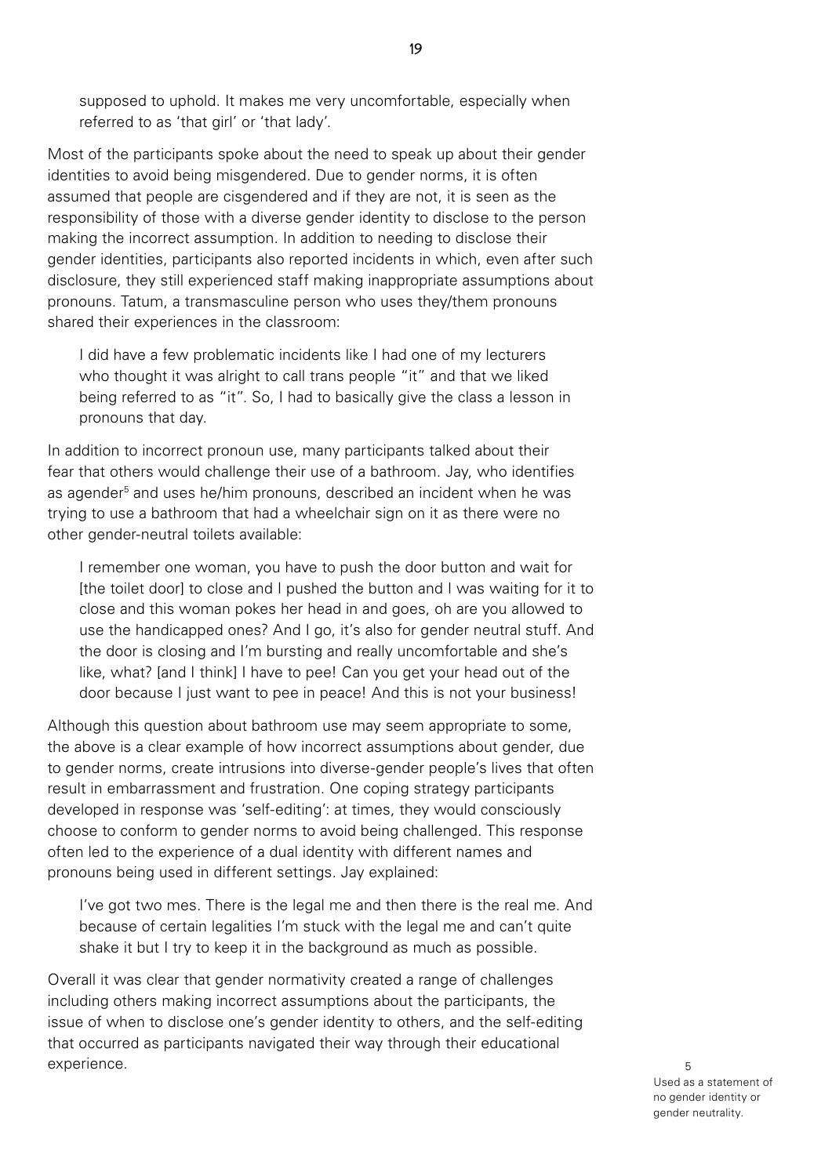supposed to uphold. It makes me very uncomfortable, especially when referred to as 'that girl' or 'that lady'.

Most of the participants spoke about the need to speak up about their gender identities to avoid being misgendered. Due to gender norms, it is often assumed that people are cisgendered and if they are not, it is seen as the responsibility of those with a diverse gender identity to disclose to the person making the incorrect assumption. In addition to needing to disclose their gender identities, participants also reported incidents in which, even after such disclosure, they still experienced staff making inappropriate assumptions about pronouns. Tatum, a transmasculine person who uses they/them pronouns shared their experiences in the classroom:

I did have a few problematic incidents like I had one of my lecturers who thought it was alright to call trans people "it" and that we liked being referred to as "it". So, I had to basically give the class a lesson in pronouns that day.

In addition to incorrect pronoun use, many participants talked about their fear that others would challenge their use of a bathroom. Jay, who identifies as agender<sup>5</sup> and uses he/him pronouns, described an incident when he was trying to use a bathroom that had a wheelchair sign on it as there were no other gender-neutral toilets available:

I remember one woman, you have to push the door button and wait for [the toilet door] to close and I pushed the button and I was waiting for it to close and this woman pokes her head in and goes, oh are you allowed to use the handicapped ones? And I go, it's also for gender neutral stuff. And the door is closing and I'm bursting and really uncomfortable and she's like, what? [and I think] I have to pee! Can you get your head out of the door because I just want to pee in peace! And this is not your business!

Although this question about bathroom use may seem appropriate to some, the above is a clear example of how incorrect assumptions about gender, due to gender norms, create intrusions into diverse-gender people's lives that often result in embarrassment and frustration. One coping strategy participants developed in response was 'self-editing': at times, they would consciously choose to conform to gender norms to avoid being challenged. This response often led to the experience of a dual identity with different names and pronouns being used in different settings. Jay explained:

I've got two mes. There is the legal me and then there is the real me. And because of certain legalities I'm stuck with the legal me and can't quite shake it but I try to keep it in the background as much as possible.

Overall it was clear that gender normativity created a range of challenges including others making incorrect assumptions about the participants, the issue of when to disclose one's gender identity to others, and the self-editing that occurred as participants navigated their way through their educational experience.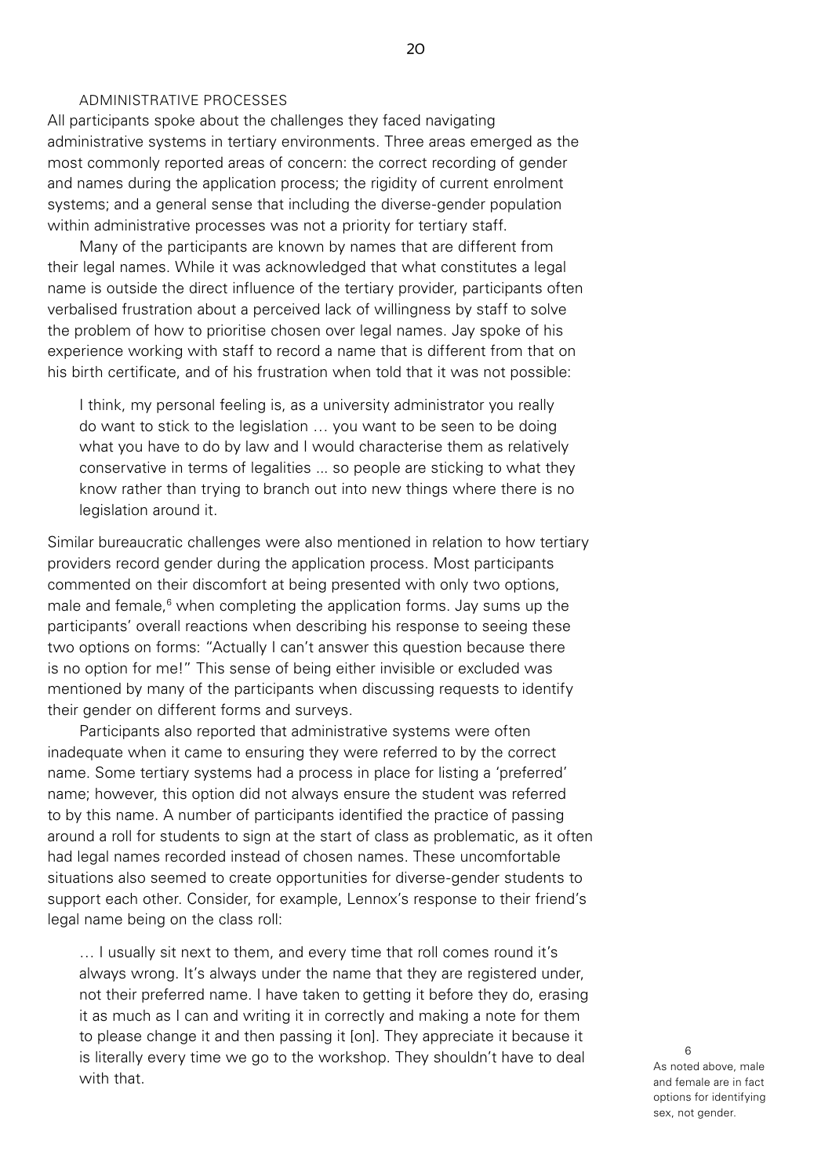#### ADMINISTRATIVE PROCESSES

All participants spoke about the challenges they faced navigating administrative systems in tertiary environments. Three areas emerged as the most commonly reported areas of concern: the correct recording of gender and names during the application process; the rigidity of current enrolment systems; and a general sense that including the diverse-gender population within administrative processes was not a priority for tertiary staff.

Many of the participants are known by names that are different from their legal names. While it was acknowledged that what constitutes a legal name is outside the direct influence of the tertiary provider, participants often verbalised frustration about a perceived lack of willingness by staff to solve the problem of how to prioritise chosen over legal names. Jay spoke of his experience working with staff to record a name that is different from that on his birth certificate, and of his frustration when told that it was not possible:

I think, my personal feeling is, as a university administrator you really do want to stick to the legislation … you want to be seen to be doing what you have to do by law and I would characterise them as relatively conservative in terms of legalities ... so people are sticking to what they know rather than trying to branch out into new things where there is no legislation around it.

Similar bureaucratic challenges were also mentioned in relation to how tertiary providers record gender during the application process. Most participants commented on their discomfort at being presented with only two options, male and female,<sup>6</sup> when completing the application forms. Jay sums up the participants' overall reactions when describing his response to seeing these two options on forms: "Actually I can't answer this question because there is no option for me!" This sense of being either invisible or excluded was mentioned by many of the participants when discussing requests to identify their gender on different forms and surveys.

Participants also reported that administrative systems were often inadequate when it came to ensuring they were referred to by the correct name. Some tertiary systems had a process in place for listing a 'preferred' name; however, this option did not always ensure the student was referred to by this name. A number of participants identified the practice of passing around a roll for students to sign at the start of class as problematic, as it often had legal names recorded instead of chosen names. These uncomfortable situations also seemed to create opportunities for diverse-gender students to support each other. Consider, for example, Lennox's response to their friend's legal name being on the class roll:

… I usually sit next to them, and every time that roll comes round it's always wrong. It's always under the name that they are registered under, not their preferred name. I have taken to getting it before they do, erasing it as much as I can and writing it in correctly and making a note for them to please change it and then passing it [on]. They appreciate it because it is literally every time we go to the workshop. They shouldn't have to deal with that.

As noted above, male and female are in fact options for identifying sex, not gender.

6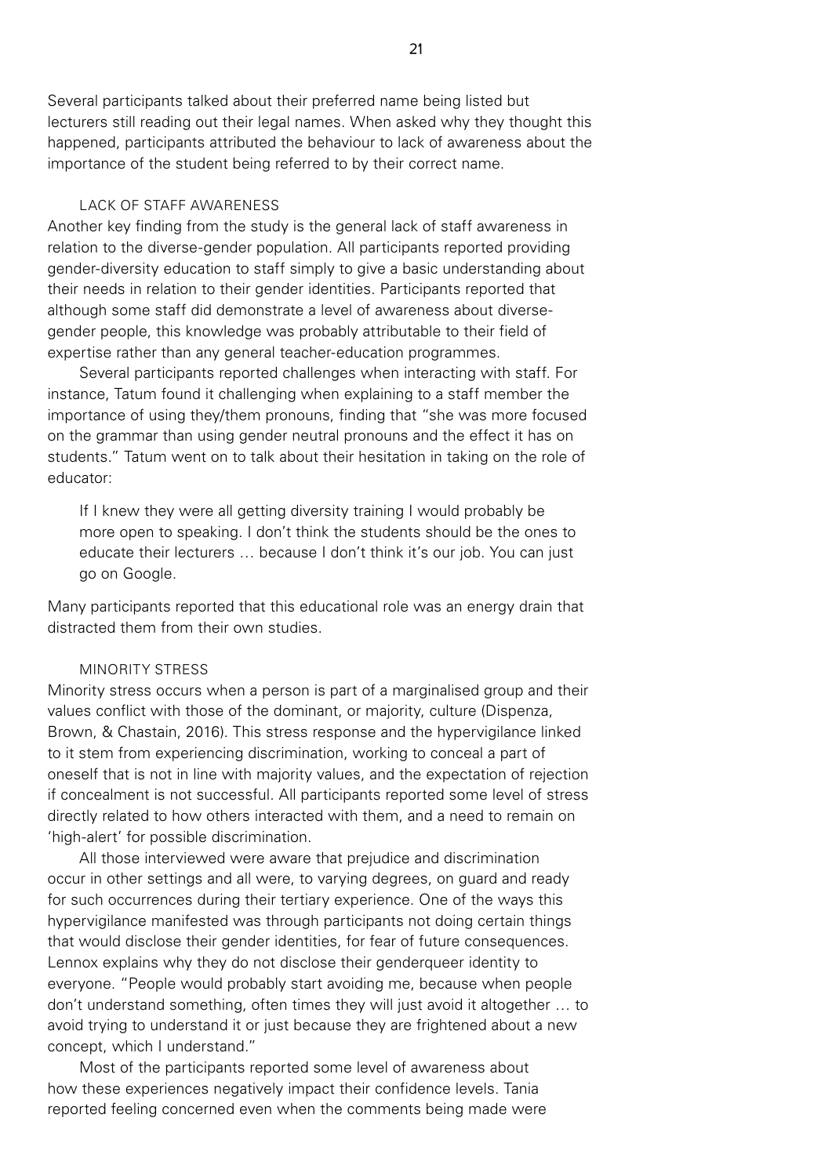Several participants talked about their preferred name being listed but lecturers still reading out their legal names. When asked why they thought this happened, participants attributed the behaviour to lack of awareness about the importance of the student being referred to by their correct name.

#### LACK OF STAFF AWARENESS

Another key finding from the study is the general lack of staff awareness in relation to the diverse-gender population. All participants reported providing gender-diversity education to staff simply to give a basic understanding about their needs in relation to their gender identities. Participants reported that although some staff did demonstrate a level of awareness about diversegender people, this knowledge was probably attributable to their field of expertise rather than any general teacher-education programmes.

Several participants reported challenges when interacting with staff. For instance, Tatum found it challenging when explaining to a staff member the importance of using they/them pronouns, finding that "she was more focused on the grammar than using gender neutral pronouns and the effect it has on students." Tatum went on to talk about their hesitation in taking on the role of educator:

If I knew they were all getting diversity training I would probably be more open to speaking. I don't think the students should be the ones to educate their lecturers … because I don't think it's our job. You can just go on Google.

Many participants reported that this educational role was an energy drain that distracted them from their own studies.

#### MINORITY STRESS

Minority stress occurs when a person is part of a marginalised group and their values conflict with those of the dominant, or majority, culture (Dispenza, Brown, & Chastain, 2016). This stress response and the hypervigilance linked to it stem from experiencing discrimination, working to conceal a part of oneself that is not in line with majority values, and the expectation of rejection if concealment is not successful. All participants reported some level of stress directly related to how others interacted with them, and a need to remain on 'high-alert' for possible discrimination.

All those interviewed were aware that prejudice and discrimination occur in other settings and all were, to varying degrees, on guard and ready for such occurrences during their tertiary experience. One of the ways this hypervigilance manifested was through participants not doing certain things that would disclose their gender identities, for fear of future consequences. Lennox explains why they do not disclose their genderqueer identity to everyone. "People would probably start avoiding me, because when people don't understand something, often times they will just avoid it altogether … to avoid trying to understand it or just because they are frightened about a new concept, which I understand."

Most of the participants reported some level of awareness about how these experiences negatively impact their confidence levels. Tania reported feeling concerned even when the comments being made were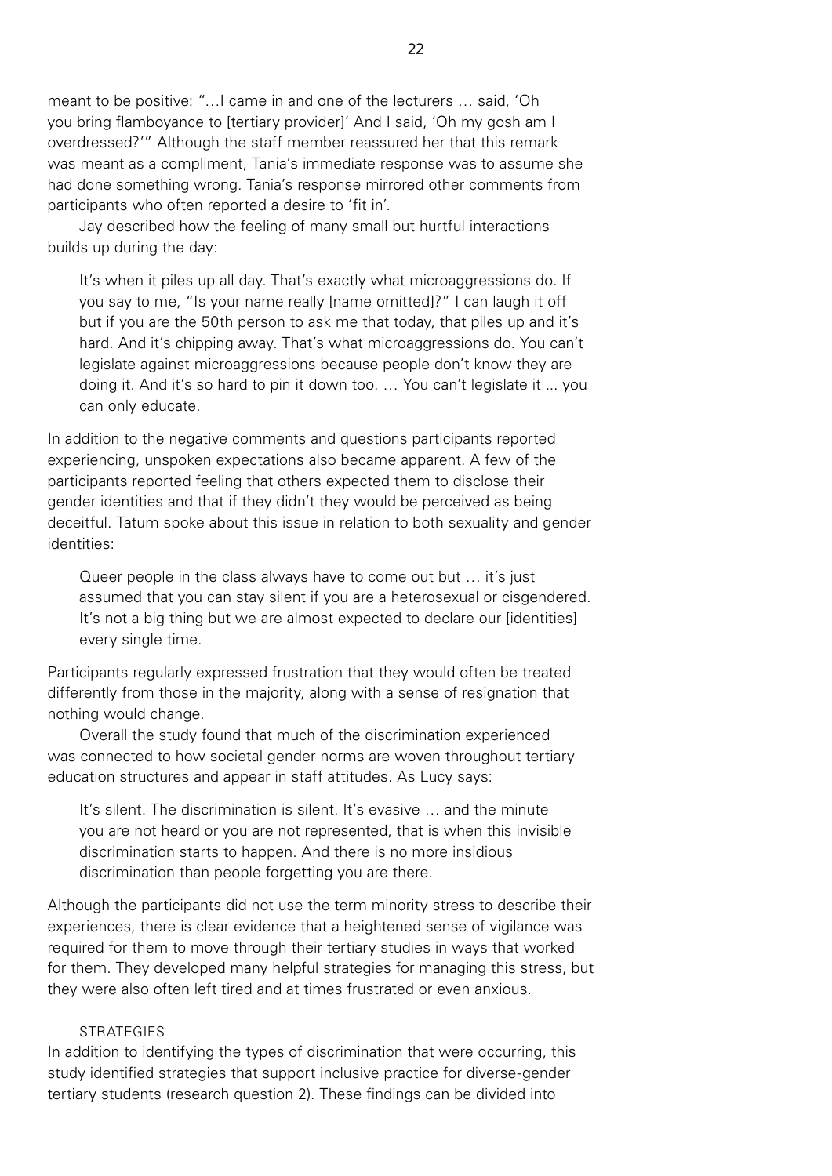meant to be positive: "…I came in and one of the lecturers … said, 'Oh you bring flamboyance to [tertiary provider]' And I said, 'Oh my gosh am I overdressed?'" Although the staff member reassured her that this remark was meant as a compliment, Tania's immediate response was to assume she had done something wrong. Tania's response mirrored other comments from participants who often reported a desire to 'fit in'.

Jay described how the feeling of many small but hurtful interactions builds up during the day:

It's when it piles up all day. That's exactly what microaggressions do. If you say to me, "Is your name really [name omitted]?" I can laugh it off but if you are the 50th person to ask me that today, that piles up and it's hard. And it's chipping away. That's what microaggressions do. You can't legislate against microaggressions because people don't know they are doing it. And it's so hard to pin it down too. … You can't legislate it ... you can only educate.

In addition to the negative comments and questions participants reported experiencing, unspoken expectations also became apparent. A few of the participants reported feeling that others expected them to disclose their gender identities and that if they didn't they would be perceived as being deceitful. Tatum spoke about this issue in relation to both sexuality and gender identities:

Queer people in the class always have to come out but … it's just assumed that you can stay silent if you are a heterosexual or cisgendered. It's not a big thing but we are almost expected to declare our [identities] every single time*.* 

Participants regularly expressed frustration that they would often be treated differently from those in the majority, along with a sense of resignation that nothing would change.

Overall the study found that much of the discrimination experienced was connected to how societal gender norms are woven throughout tertiary education structures and appear in staff attitudes. As Lucy says:

It's silent. The discrimination is silent. It's evasive … and the minute you are not heard or you are not represented, that is when this invisible discrimination starts to happen. And there is no more insidious discrimination than people forgetting you are there.

Although the participants did not use the term minority stress to describe their experiences, there is clear evidence that a heightened sense of vigilance was required for them to move through their tertiary studies in ways that worked for them. They developed many helpful strategies for managing this stress, but they were also often left tired and at times frustrated or even anxious.

#### **STRATEGIES**

In addition to identifying the types of discrimination that were occurring, this study identified strategies that support inclusive practice for diverse-gender tertiary students (research question 2). These findings can be divided into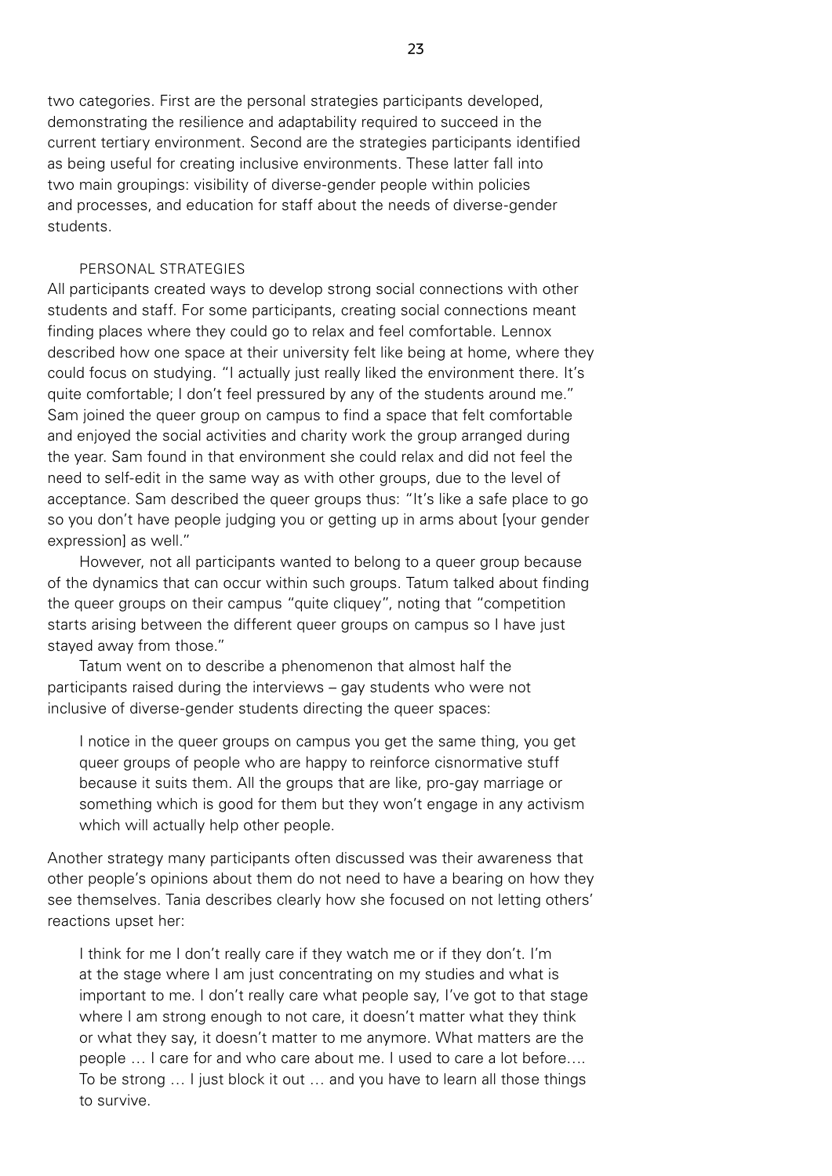two categories. First are the personal strategies participants developed, demonstrating the resilience and adaptability required to succeed in the current tertiary environment. Second are the strategies participants identified as being useful for creating inclusive environments. These latter fall into two main groupings: visibility of diverse-gender people within policies and processes, and education for staff about the needs of diverse-gender students.

## PERSONAL STRATEGIES

All participants created ways to develop strong social connections with other students and staff. For some participants, creating social connections meant finding places where they could go to relax and feel comfortable. Lennox described how one space at their university felt like being at home, where they could focus on studying. "I actually just really liked the environment there. It's quite comfortable; I don't feel pressured by any of the students around me." Sam joined the queer group on campus to find a space that felt comfortable and enjoyed the social activities and charity work the group arranged during the year. Sam found in that environment she could relax and did not feel the need to self-edit in the same way as with other groups, due to the level of acceptance. Sam described the queer groups thus: "It's like a safe place to go so you don't have people judging you or getting up in arms about [your gender expression] as well."

However, not all participants wanted to belong to a queer group because of the dynamics that can occur within such groups. Tatum talked about finding the queer groups on their campus "quite cliquey", noting that "competition starts arising between the different queer groups on campus so I have just stayed away from those."

Tatum went on to describe a phenomenon that almost half the participants raised during the interviews – gay students who were not inclusive of diverse-gender students directing the queer spaces:

I notice in the queer groups on campus you get the same thing, you get queer groups of people who are happy to reinforce cisnormative stuff because it suits them. All the groups that are like, pro-gay marriage or something which is good for them but they won't engage in any activism which will actually help other people.

Another strategy many participants often discussed was their awareness that other people's opinions about them do not need to have a bearing on how they see themselves. Tania describes clearly how she focused on not letting others' reactions upset her:

I think for me I don't really care if they watch me or if they don't. I'm at the stage where I am just concentrating on my studies and what is important to me. I don't really care what people say, I've got to that stage where I am strong enough to not care, it doesn't matter what they think or what they say, it doesn't matter to me anymore. What matters are the people … I care for and who care about me. I used to care a lot before…. To be strong … I just block it out … and you have to learn all those things to survive.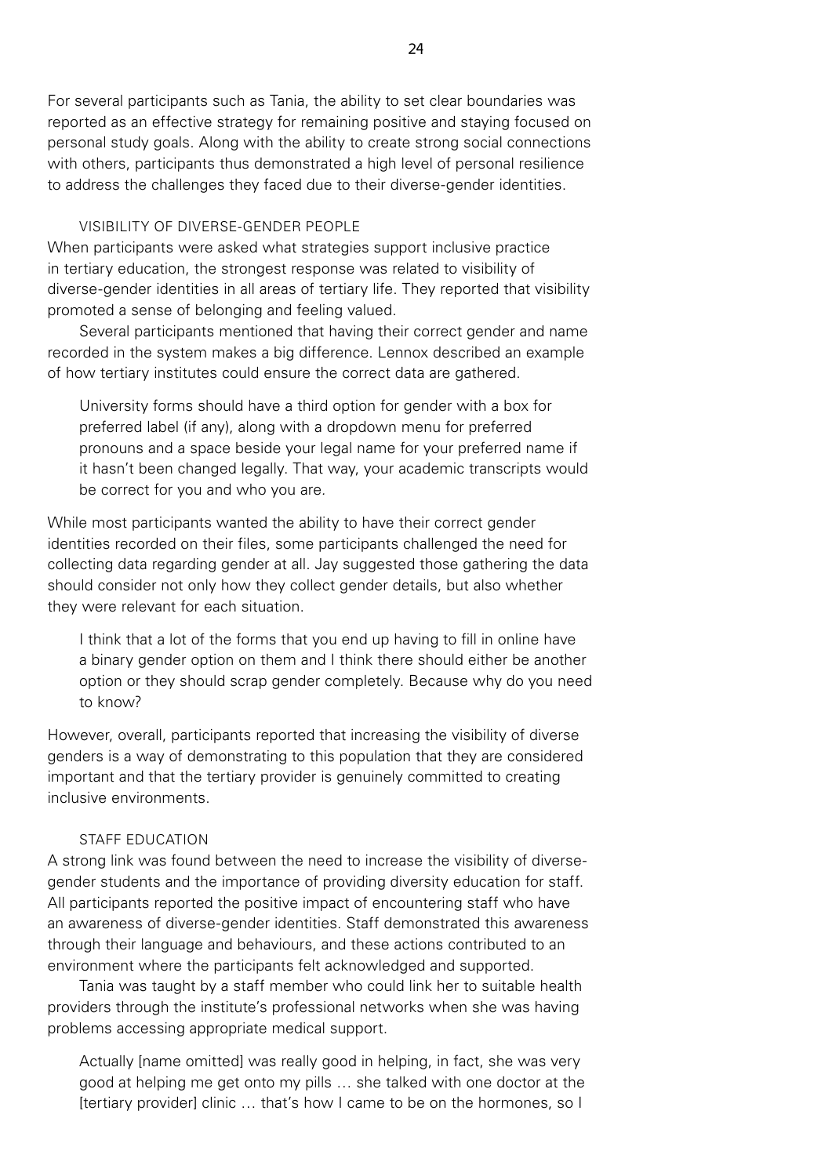For several participants such as Tania, the ability to set clear boundaries was reported as an effective strategy for remaining positive and staying focused on personal study goals. Along with the ability to create strong social connections with others, participants thus demonstrated a high level of personal resilience to address the challenges they faced due to their diverse-gender identities.

## VISIBILITY OF DIVERSE-GENDER PEOPLE

When participants were asked what strategies support inclusive practice in tertiary education, the strongest response was related to visibility of diverse-gender identities in all areas of tertiary life. They reported that visibility promoted a sense of belonging and feeling valued.

Several participants mentioned that having their correct gender and name recorded in the system makes a big difference. Lennox described an example of how tertiary institutes could ensure the correct data are gathered.

University forms should have a third option for gender with a box for preferred label (if any), along with a dropdown menu for preferred pronouns and a space beside your legal name for your preferred name if it hasn't been changed legally. That way, your academic transcripts would be correct for you and who you are*.* 

While most participants wanted the ability to have their correct gender identities recorded on their files, some participants challenged the need for collecting data regarding gender at all. Jay suggested those gathering the data should consider not only how they collect gender details, but also whether they were relevant for each situation.

I think that a lot of the forms that you end up having to fill in online have a binary gender option on them and I think there should either be another option or they should scrap gender completely. Because why do you need to know?

However, overall, participants reported that increasing the visibility of diverse genders is a way of demonstrating to this population that they are considered important and that the tertiary provider is genuinely committed to creating inclusive environments.

#### STAFF EDUCATION

A strong link was found between the need to increase the visibility of diversegender students and the importance of providing diversity education for staff. All participants reported the positive impact of encountering staff who have an awareness of diverse-gender identities. Staff demonstrated this awareness through their language and behaviours, and these actions contributed to an environment where the participants felt acknowledged and supported.

Tania was taught by a staff member who could link her to suitable health providers through the institute's professional networks when she was having problems accessing appropriate medical support.

Actually [name omitted] was really good in helping, in fact, she was very good at helping me get onto my pills … she talked with one doctor at the [tertiary provider] clinic … that's how I came to be on the hormones, so I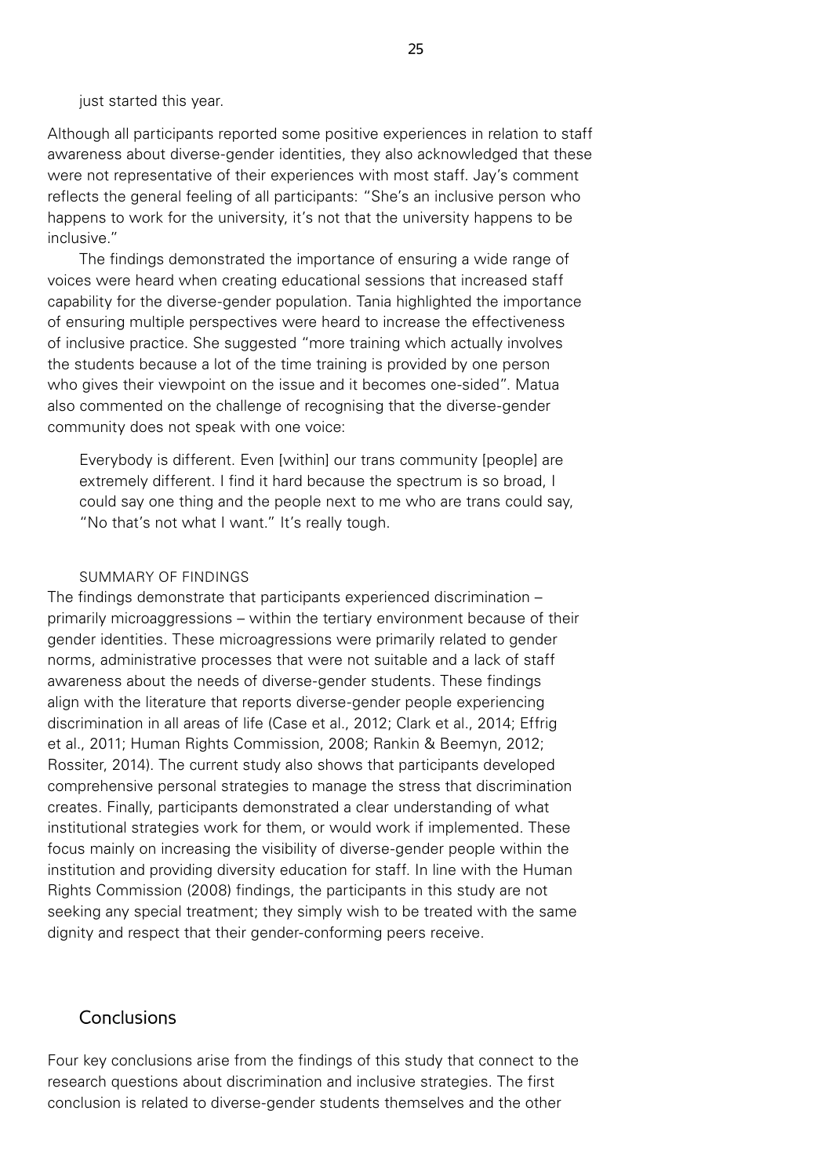just started this year.

Although all participants reported some positive experiences in relation to staff awareness about diverse-gender identities, they also acknowledged that these were not representative of their experiences with most staff. Jay's comment reflects the general feeling of all participants: "She's an inclusive person who happens to work for the university, it's not that the university happens to be inclusive."

The findings demonstrated the importance of ensuring a wide range of voices were heard when creating educational sessions that increased staff capability for the diverse-gender population. Tania highlighted the importance of ensuring multiple perspectives were heard to increase the effectiveness of inclusive practice. She suggested "more training which actually involves the students because a lot of the time training is provided by one person who gives their viewpoint on the issue and it becomes one-sided". Matua also commented on the challenge of recognising that the diverse-gender community does not speak with one voice:

Everybody is different. Even [within] our trans community [people] are extremely different. I find it hard because the spectrum is so broad, I could say one thing and the people next to me who are trans could say, "No that's not what I want." It's really tough.

#### SUMMARY OF FINDINGS

The findings demonstrate that participants experienced discrimination – primarily microaggressions – within the tertiary environment because of their gender identities. These microagressions were primarily related to gender norms, administrative processes that were not suitable and a lack of staff awareness about the needs of diverse-gender students. These findings align with the literature that reports diverse-gender people experiencing discrimination in all areas of life (Case et al., 2012; Clark et al., 2014; Effrig et al., 2011; Human Rights Commission, 2008; Rankin & Beemyn, 2012; Rossiter, 2014). The current study also shows that participants developed comprehensive personal strategies to manage the stress that discrimination creates. Finally, participants demonstrated a clear understanding of what institutional strategies work for them, or would work if implemented. These focus mainly on increasing the visibility of diverse-gender people within the institution and providing diversity education for staff. In line with the Human Rights Commission (2008) findings, the participants in this study are not seeking any special treatment; they simply wish to be treated with the same dignity and respect that their gender-conforming peers receive.

### **Conclusions**

Four key conclusions arise from the findings of this study that connect to the research questions about discrimination and inclusive strategies. The first conclusion is related to diverse-gender students themselves and the other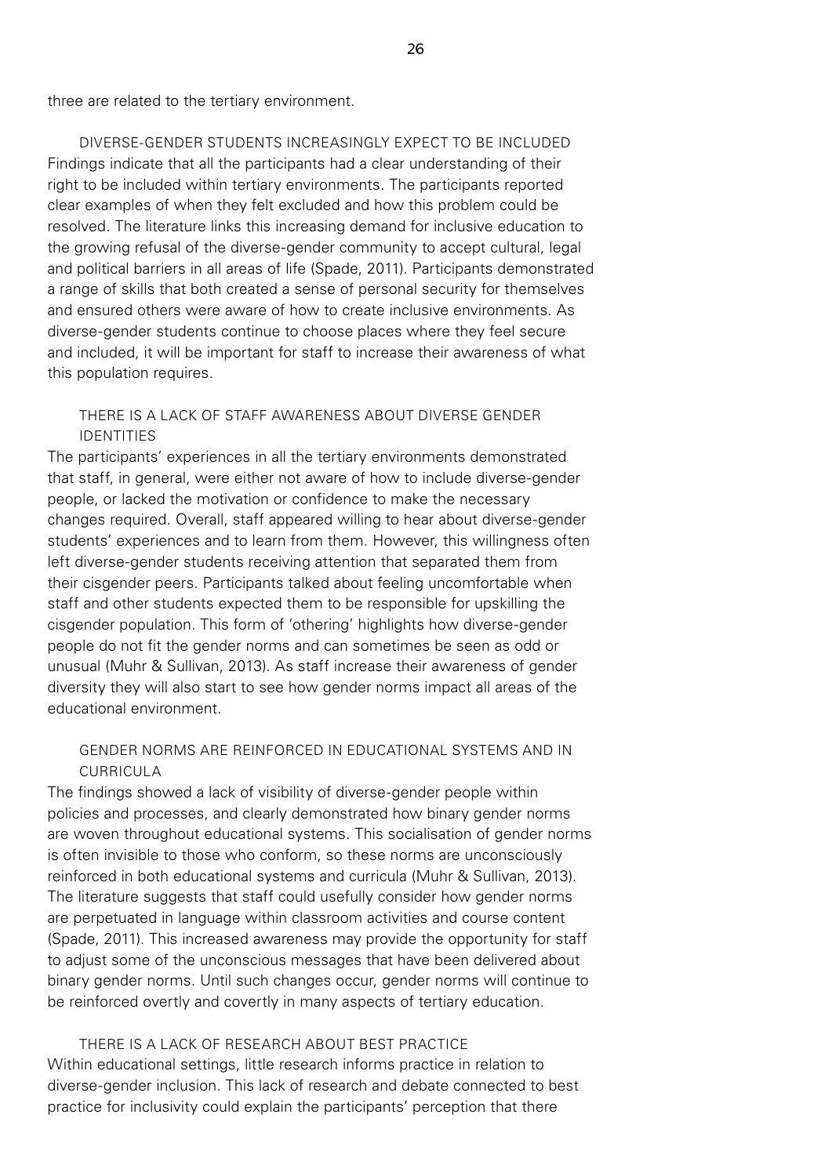three are related to the tertiary environment.

DIVERSE-GENDER STUDENTS INCREASINGLY EXPECT TO BE INCLUDED Findings indicate that all the participants had a clear understanding of their right to be included within tertiary environments. The participants reported clear examples of when they felt excluded and how this problem could be resolved. The literature links this increasing demand for inclusive education to the growing refusal of the diverse-gender community to accept cultural, legal and political barriers in all areas of life (Spade, 2011). Participants demonstrated a range of skills that both created a sense of personal security for themselves and ensured others were aware of how to create inclusive environments. As diverse-gender students continue to choose places where they feel secure and included, it will be important for staff to increase their awareness of what this population requires.

## THERE IS A LACK OF STAFF AWARENESS ABOUT DIVERSE GENDER IDENTITIES

The participants' experiences in all the tertiary environments demonstrated that staff, in general, were either not aware of how to include diverse-gender people, or lacked the motivation or confidence to make the necessary changes required. Overall, staff appeared willing to hear about diverse-gender students' experiences and to learn from them. However, this willingness often left diverse-gender students receiving attention that separated them from their cisgender peers. Participants talked about feeling uncomfortable when staff and other students expected them to be responsible for upskilling the cisgender population. This form of 'othering' highlights how diverse-gender people do not fit the gender norms and can sometimes be seen as odd or unusual (Muhr & Sullivan, 2013). As staff increase their awareness of gender diversity they will also start to see how gender norms impact all areas of the educational environment.

## GENDER NORMS ARE REINFORCED IN EDUCATIONAL SYSTEMS AND IN CURRICULA

The findings showed a lack of visibility of diverse-gender people within policies and processes, and clearly demonstrated how binary gender norms are woven throughout educational systems. This socialisation of gender norms is often invisible to those who conform, so these norms are unconsciously reinforced in both educational systems and curricula (Muhr & Sullivan, 2013). The literature suggests that staff could usefully consider how gender norms are perpetuated in language within classroom activities and course content (Spade, 2011). This increased awareness may provide the opportunity for staff to adjust some of the unconscious messages that have been delivered about binary gender norms. Until such changes occur, gender norms will continue to be reinforced overtly and covertly in many aspects of tertiary education.

## THERE IS A LACK OF RESEARCH ABOUT BEST PRACTICE Within educational settings, little research informs practice in relation to diverse-gender inclusion. This lack of research and debate connected to best practice for inclusivity could explain the participants' perception that there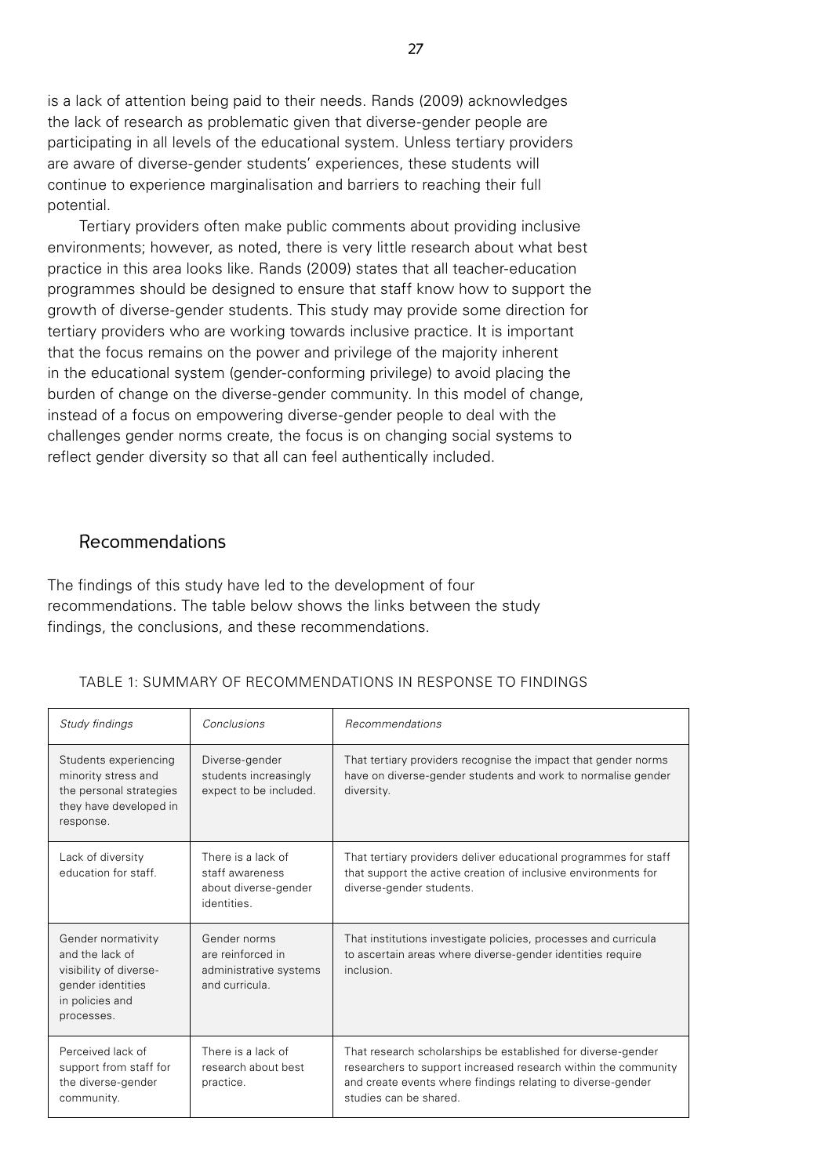is a lack of attention being paid to their needs. Rands (2009) acknowledges the lack of research as problematic given that diverse-gender people are participating in all levels of the educational system. Unless tertiary providers are aware of diverse-gender students' experiences, these students will continue to experience marginalisation and barriers to reaching their full potential.

Tertiary providers often make public comments about providing inclusive environments; however, as noted, there is very little research about what best practice in this area looks like. Rands (2009) states that all teacher-education programmes should be designed to ensure that staff know how to support the growth of diverse-gender students. This study may provide some direction for tertiary providers who are working towards inclusive practice. It is important that the focus remains on the power and privilege of the majority inherent in the educational system (gender-conforming privilege) to avoid placing the burden of change on the diverse-gender community. In this model of change, instead of a focus on empowering diverse-gender people to deal with the challenges gender norms create, the focus is on changing social systems to reflect gender diversity so that all can feel authentically included.

## Recommendations

The findings of this study have led to the development of four recommendations. The table below shows the links between the study findings, the conclusions, and these recommendations.

| Study findings                                                                                                        | Conclusions                                                                   | Recommendations                                                                                                                                                                                                         |
|-----------------------------------------------------------------------------------------------------------------------|-------------------------------------------------------------------------------|-------------------------------------------------------------------------------------------------------------------------------------------------------------------------------------------------------------------------|
| Students experiencing<br>minority stress and<br>the personal strategies<br>they have developed in<br>response.        | Diverse-gender<br>students increasingly<br>expect to be included.             | That tertiary providers recognise the impact that gender norms<br>have on diverse-gender students and work to normalise gender<br>diversity.                                                                            |
| Lack of diversity<br>education for staff.                                                                             | There is a lack of<br>staff awareness<br>about diverse-gender<br>identities.  | That tertiary providers deliver educational programmes for staff<br>that support the active creation of inclusive environments for<br>diverse-gender students.                                                          |
| Gender normativity<br>and the lack of<br>visibility of diverse-<br>gender identities<br>in policies and<br>processes. | Gender norms<br>are reinforced in<br>administrative systems<br>and curricula. | That institutions investigate policies, processes and curricula<br>to ascertain areas where diverse-gender identities require<br>inclusion.                                                                             |
| Perceived lack of<br>support from staff for<br>the diverse-gender<br>community.                                       | There is a lack of<br>research about best<br>practice.                        | That research scholarships be established for diverse-gender<br>researchers to support increased research within the community<br>and create events where findings relating to diverse-gender<br>studies can be shared. |

#### TABLE 1: SUMMARY OF RECOMMENDATIONS IN RESPONSE TO FINDINGS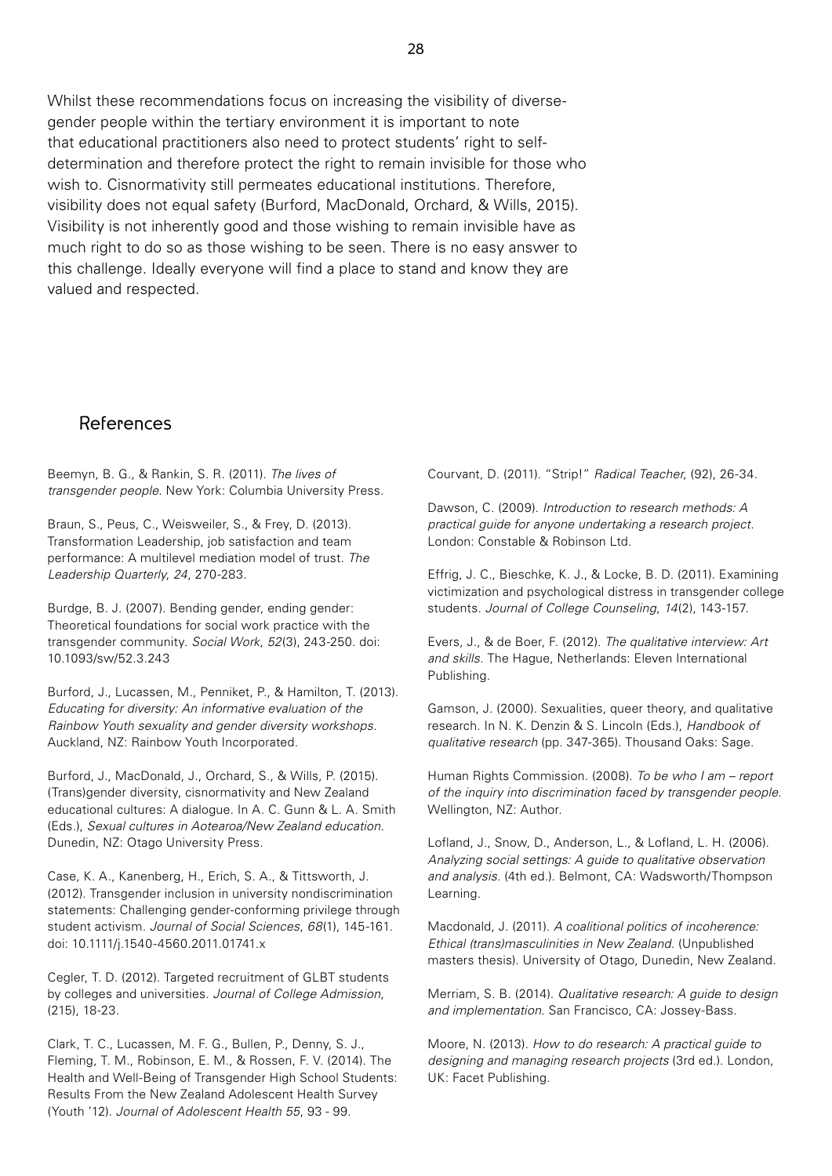Whilst these recommendations focus on increasing the visibility of diversegender people within the tertiary environment it is important to note that educational practitioners also need to protect students' right to selfdetermination and therefore protect the right to remain invisible for those who wish to. Cisnormativity still permeates educational institutions. Therefore, visibility does not equal safety (Burford, MacDonald, Orchard, & Wills, 2015). Visibility is not inherently good and those wishing to remain invisible have as much right to do so as those wishing to be seen. There is no easy answer to this challenge. Ideally everyone will find a place to stand and know they are valued and respected.

## References

Beemyn, B. G., & Rankin, S. R. (2011). *The lives of transgender people*. New York: Columbia University Press.

Braun, S., Peus, C., Weisweiler, S., & Frey, D. (2013). Transformation Leadership, job satisfaction and team performance: A multilevel mediation model of trust. *The Leadership Quarterly*, *24*, 270-283.

Burdge, B. J. (2007). Bending gender, ending gender: Theoretical foundations for social work practice with the transgender community. *Social Work*, *52*(3), 243-250. doi: 10.1093/sw/52.3.243

Burford, J., Lucassen, M., Penniket, P., & Hamilton, T. (2013). *Educating for diversity: An informative evaluation of the Rainbow Youth sexuality and gender diversity workshops*. Auckland, NZ: Rainbow Youth Incorporated.

Burford, J., MacDonald, J., Orchard, S., & Wills, P. (2015). (Trans)gender diversity, cisnormativity and New Zealand educational cultures: A dialogue. In A. C. Gunn & L. A. Smith (Eds.), *Sexual cultures in Aotearoa/New Zealand education*. Dunedin, NZ: Otago University Press.

Case, K. A., Kanenberg, H., Erich, S. A., & Tittsworth, J. (2012). Transgender inclusion in university nondiscrimination statements: Challenging gender-conforming privilege through student activism. *Journal of Social Sciences*, *68*(1), 145-161. doi: 10.1111/j.1540-4560.2011.01741.x

Cegler, T. D. (2012). Targeted recruitment of GLBT students by colleges and universities. *Journal of College Admission*, (215), 18-23.

Clark, T. C., Lucassen, M. F. G., Bullen, P., Denny, S. J., Fleming, T. M., Robinson, E. M., & Rossen, F. V. (2014). The Health and Well-Being of Transgender High School Students: Results From the New Zealand Adolescent Health Survey (Youth '12). *Journal of Adolescent Health 55*, 93 - 99.

Courvant, D. (2011). "Strip!" *Radical Teacher*, (92), 26-34.

Dawson, C. (2009). *Introduction to research methods: A practical guide for anyone undertaking a research project*. London: Constable & Robinson Ltd.

Effrig, J. C., Bieschke, K. J., & Locke, B. D. (2011). Examining victimization and psychological distress in transgender college students. *Journal of College Counseling*, *14*(2), 143-157.

Evers, J., & de Boer, F. (2012). *The qualitative interview: Art and skills*. The Hague, Netherlands: Eleven International Publishing.

Gamson, J. (2000). Sexualities, queer theory, and qualitative research. In N. K. Denzin & S. Lincoln (Eds.), *Handbook of qualitative research* (pp. 347-365). Thousand Oaks: Sage.

Human Rights Commission. (2008). *To be who I am – report of the inquiry into discrimination faced by transgender people*. Wellington, NZ: Author.

Lofland, J., Snow, D., Anderson, L., & Lofland, L. H. (2006). *Analyzing social settings: A guide to qualitative observation and analysis*. (4th ed.). Belmont, CA: Wadsworth/Thompson Learning.

Macdonald, J. (2011). *A coalitional politics of incoherence: Ethical (trans)masculinities in New Zealand.* (Unpublished masters thesis). University of Otago, Dunedin, New Zealand.

Merriam, S. B. (2014). *Qualitative research: A guide to design and implementation*. San Francisco, CA: Jossey-Bass.

Moore, N. (2013). *How to do research: A practical guide to designing and managing research projects* (3rd ed.). London, UK: Facet Publishing.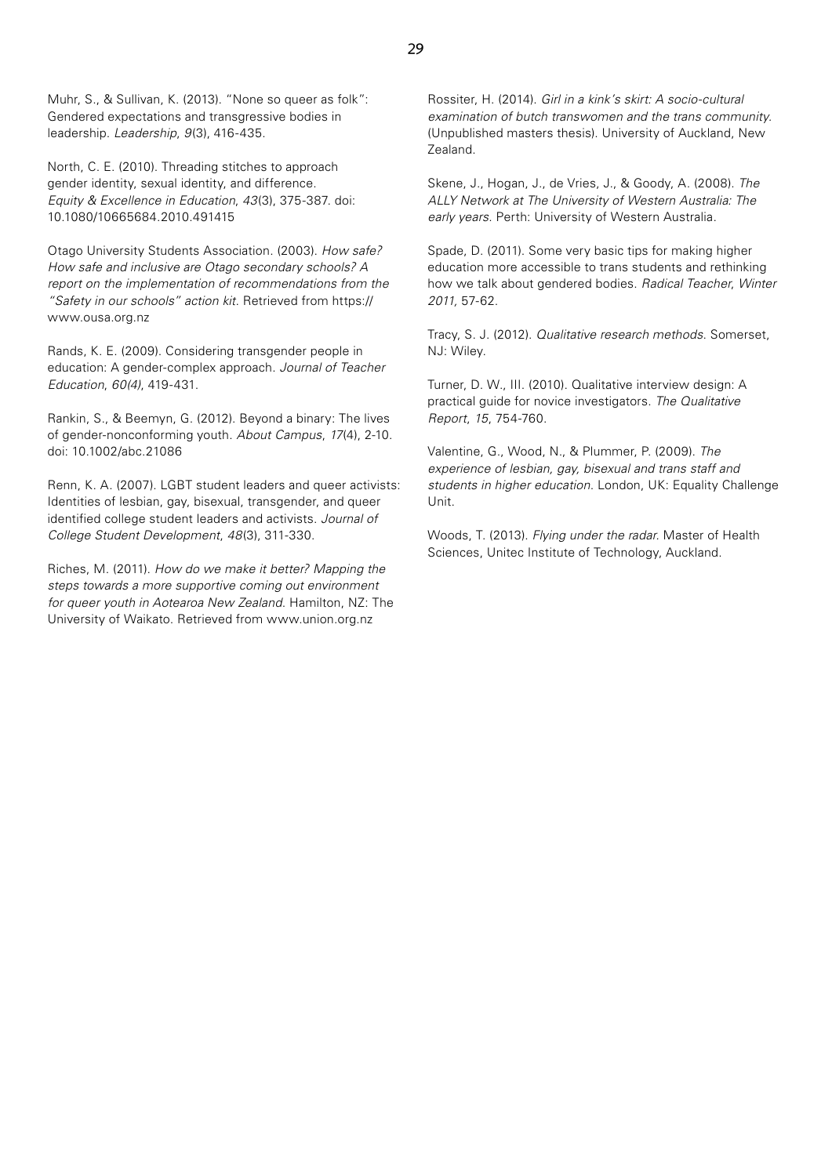Muhr, S., & Sullivan, K. (2013). "None so queer as folk": Gendered expectations and transgressive bodies in leadership. *Leadership*, *9*(3), 416-435.

North, C. E. (2010). Threading stitches to approach gender identity, sexual identity, and difference. *Equity & Excellence in Education*, *43*(3), 375-387. doi: 10.1080/10665684.2010.491415

Otago University Students Association. (2003). *How safe? How safe and inclusive are Otago secondary schools? A report on the implementation of recommendations from the "Safety in our schools" action kit*. Retrieved from https:// www.ousa.org.nz

Rands, K. E. (2009). Considering transgender people in education: A gender-complex approach. *Journal of Teacher Education*, *60(4)*, 419-431.

Rankin, S., & Beemyn, G. (2012). Beyond a binary: The lives of gender-nonconforming youth. *About Campus*, *17*(4), 2-10. doi: 10.1002/abc.21086

Renn, K. A. (2007). LGBT student leaders and queer activists: Identities of lesbian, gay, bisexual, transgender, and queer identified college student leaders and activists. *Journal of College Student Development*, *48*(3), 311-330.

Riches, M. (2011). *How do we make it better? Mapping the steps towards a more supportive coming out environment for queer youth in Aotearoa New Zealand*. Hamilton, NZ: The University of Waikato. Retrieved from www.union.org.nz

Rossiter, H. (2014). *Girl in a kink's skirt: A socio-cultural examination of butch transwomen and the trans community.* (Unpublished masters thesis). University of Auckland, New Zealand.

Skene, J., Hogan, J., de Vries, J., & Goody, A. (2008). *The ALLY Network at The University of Western Australia: The early years*. Perth: University of Western Australia.

Spade, D. (2011). Some very basic tips for making higher education more accessible to trans students and rethinking how we talk about gendered bodies. *Radical Teacher*, *Winter 2011,* 57-62.

Tracy, S. J. (2012). *Qualitative research methods*. Somerset, NJ: Wiley.

Turner, D. W., III. (2010). Qualitative interview design: A practical guide for novice investigators. *The Qualitative Report*, *15*, 754-760.

Valentine, G., Wood, N., & Plummer, P. (2009). *The experience of lesbian, gay, bisexual and trans staff and students in higher education*. London, UK: Equality Challenge Unit.

Woods, T. (2013). *Flying under the radar.* Master of Health Sciences, Unitec Institute of Technology, Auckland.